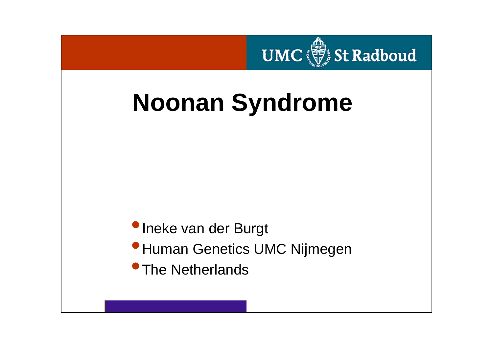

# **Noonan Syndrome**

### •Ineke van der Burgt

- **•Human Genetics UMC Nijmegen**
- **•The Netherlands**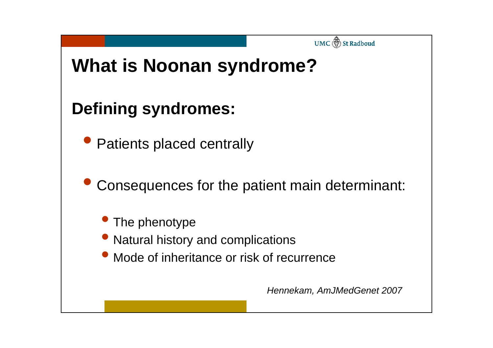

## **Defining syndromes:**

- Patients placed centrally
- $\bullet$  Consequences for the patient main determinant:
	- The phenotype
	- Natural history and complications
	- $\bullet$ Mode of inheritance or risk of recurrence

*Hennekam, AmJMedGenet 2007*

UMC **St** Radboud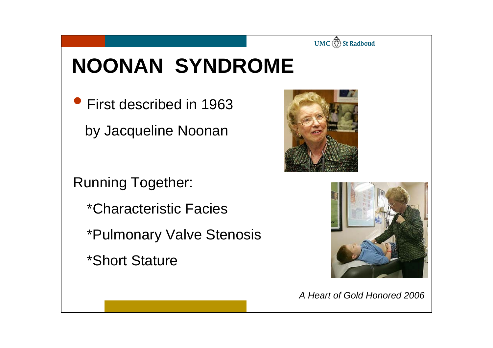

# **NOONAN SYNDROME**

**• First described in 1963** by Jacqueline Noonan

Running Together:

- \*Characteristic Facies
- \*Pulmonary Valve Stenosis
- \*Short Stature





*A Heart of Gold Honored 2006*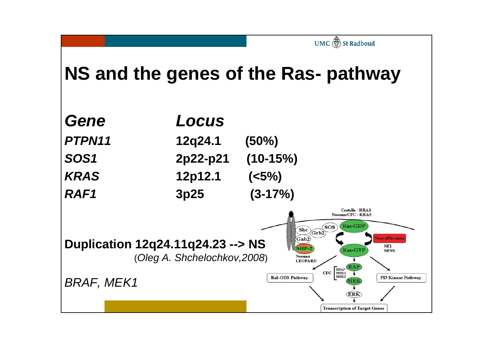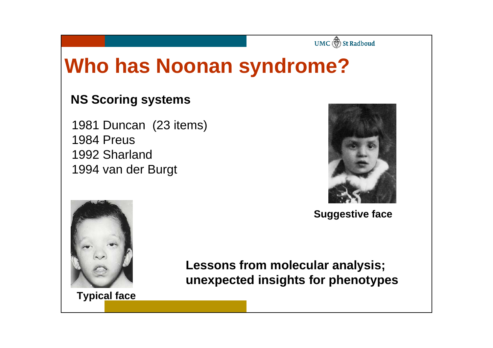#### UMC (1) St Radboud

# **Who has Noonan syndrome?**

#### **NS Scoring systems**

1981 Duncan (23 items) 1984 Preus1992 Sharland1994 van der Burgt



**Suggestive face**



**Lessons from molecular analysis; unexpected insights for phenotypes**

**Typical** face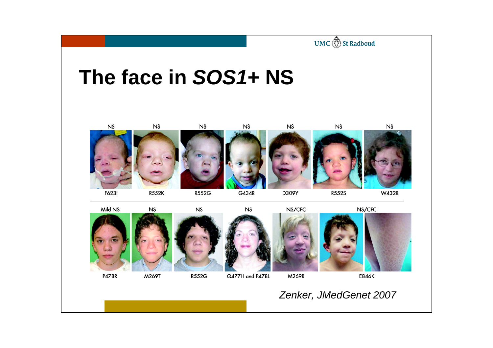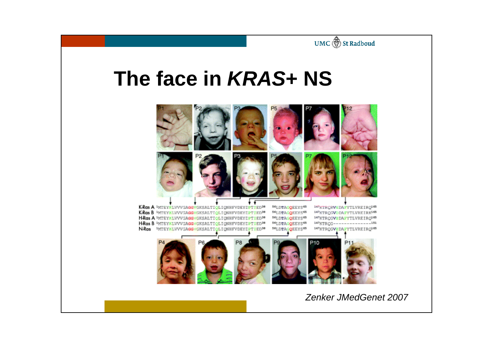

# **The face in** *KRAS***+ NS**



KRas A WTEYNLVVVGAGGVGKSALTIOLIONHFVDEYDPTIED<sup>30</sup> KRas B WTEYKLVVVGAGGVGKSALTIOLIONHFVDEYEPTIED38 HRas A WTEYKLWWGAGGVGKSALTIOLIONHFVDEYDPTIED<sup>38</sup> H-Ras B IMTEYKLVVVGAGGVGKSALTIOLIONHFVDEY TIED<sup>38</sup> N-Ros IMTEYNLVVVGAGGVGKSALTIOLIONHFVDEYDFTED38

56LDTAGOEEYS<sup>45</sup> 147KTRCRVSDAFYTLVREIRQ165 147KTROGVODAFYTLVREIRK<sup>165</sup> 56LDTAGQEEYS<sup>65</sup> 56LDTAGOEEYS<sup>65</sup> 347KTROGVEDAFYTLVREIRO<sup>165</sup> 56LDTAGQEEYS65 147KTROG---------------151

147KTROGVZDAFYTLVREIRQ165 56LDTAGQEEYS<sup>65</sup> P<sub>10</sub>

*Zenker JMedGenet 2007*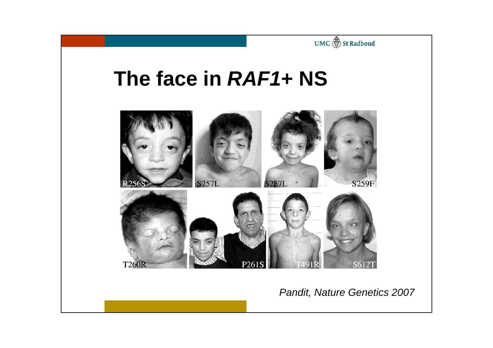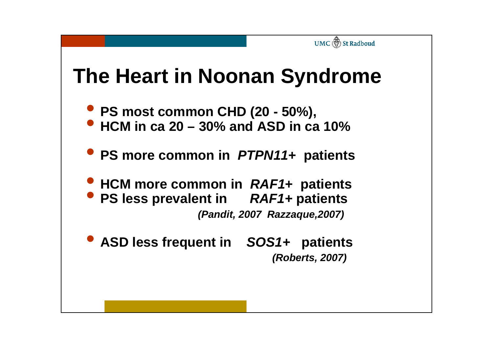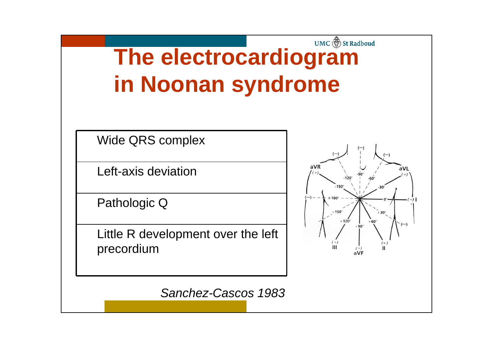## UMC St Radboud **The electrocardiogram in Noonan syndrome**

Wide QRS complex

Left-axis deviation

Pathologic Q

Little R development over the left precordium



*Sanchez-Cascos 1983*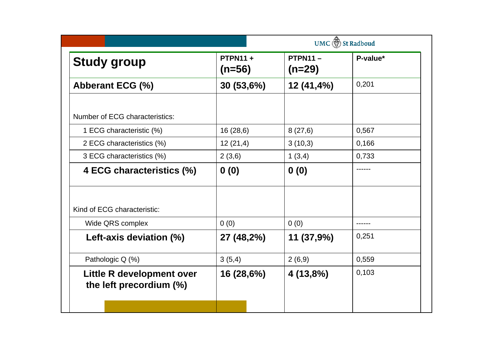|                                                      |                            | UMC <b>is a</b> St Radboud |          |  |
|------------------------------------------------------|----------------------------|----------------------------|----------|--|
| <b>Study group</b>                                   | <b>PTPN11+</b><br>$(n=56)$ | $PTPN11 -$<br>$(n=29)$     | P-value* |  |
| <b>Abberant ECG (%)</b>                              | 30 (53,6%)                 | 12 (41,4%)                 | 0,201    |  |
| Number of ECG characteristics:                       |                            |                            |          |  |
| 1 ECG characteristic (%)                             | 16(28,6)                   | 8(27,6)                    | 0,567    |  |
| 2 ECG characteristics (%)                            | 12(21,4)                   | 3(10,3)                    | 0,166    |  |
| 3 ECG characteristics (%)                            | 2(3,6)                     | 1(3,4)                     | 0,733    |  |
| 4 ECG characteristics (%)                            | 0(0)                       | 0(0)                       | ------   |  |
| Kind of ECG characteristic:                          |                            |                            |          |  |
| Wide QRS complex                                     | 0(0)                       | 0(0)                       |          |  |
| Left-axis deviation (%)                              | 27 (48,2%)                 | 11 (37,9%)                 | 0,251    |  |
| Pathologic Q (%)                                     | 3(5,4)                     | 2(6,9)                     | 0,559    |  |
| Little R development over<br>the left precordium (%) | 16 (28,6%)                 | 4 (13,8%)                  | 0,103    |  |
|                                                      |                            |                            |          |  |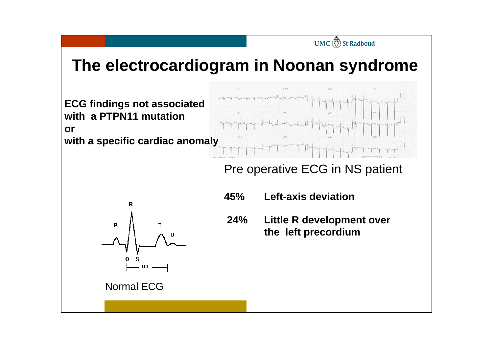## **The electrocardiogram in Noonan syndrome**



#### Pre operative ECG in NS patient

UMC (1) St Radboud



- **45% Left-axis deviation**
- **24% Little R development over the left precordium**

Normal ECG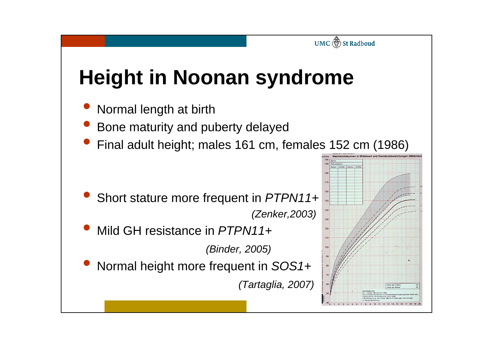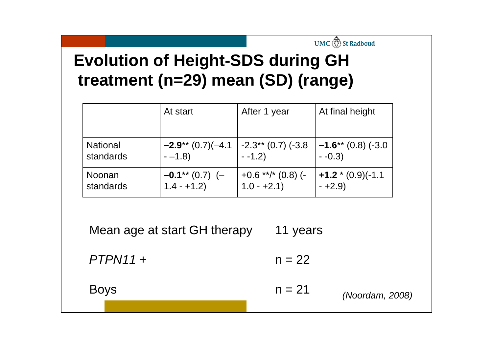## **Evolution of Height-SDS during GH treatment (n=29) mean (SD) (range)**

|                                       | At start             | After 1 year                | At final height      |  |  |
|---------------------------------------|----------------------|-----------------------------|----------------------|--|--|
| <b>National</b>                       | $-2.9**$ (0.7)(-4.1  | $\vert$ -2.3** (0.7) (-3.8) | $-1.6**$ (0.8) (-3.0 |  |  |
| standards                             | $-1.8$               | $-1.2$ )                    | $-0.3$               |  |  |
| Noonan                                | $-0.1^{**}$ (0.7) (- | $+0.6$ **/* (0.8) (-        | $+1.2*(0.9)(-1.1)$   |  |  |
| standards                             | $1.4 - +1.2$         | $1.0 - +2.1$                | $-+2.9$              |  |  |
| Mean age at start GH therapy<br>years |                      |                             |                      |  |  |

UMC (1) St Radboud

*PTPN11* +  $n = 22$ 

*(Noordam, 2008)*  Boys  $n = 21$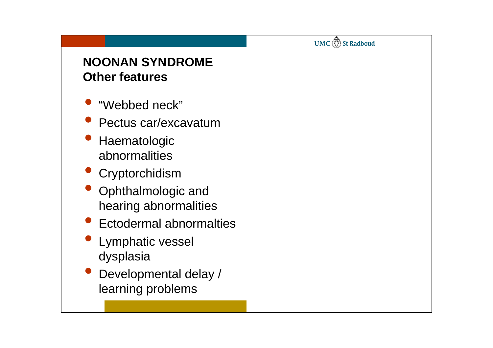UMC (1) St Radboud

#### **NOONAN SYNDROMEOther features**

- $\bullet$ "Webbed neck"
- $\bullet$ **Pectus car/excavatum**
- $\bullet$  Haematologic abnormalities
- **Cryptorchidism**
- Ophthalmologic and hearing abnormalities
- $\bullet$ **Ectodermal abnormalties**
- $\bullet$  Lymphatic vessel dysplasia
- $\bullet$  Developmental delay / learning problems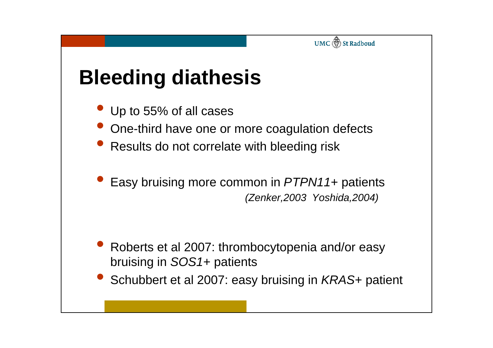

# **Bleeding diathesis**

- Up to 55% of all cases
- One-third have one or more coagulation defects
- **Results do not correlate with bleeding risk**
- $\bullet$  Easy bruising more common in *PTPN11*+ patients *(Zenker,2003 Yoshida,2004)*

- $\bullet$  Roberts et al 2007: thrombocytopenia and/or easy bruising in *SOS1*+ patients
- $\bullet$ Schubbert et al 2007: easy bruising in *KRAS*+ patient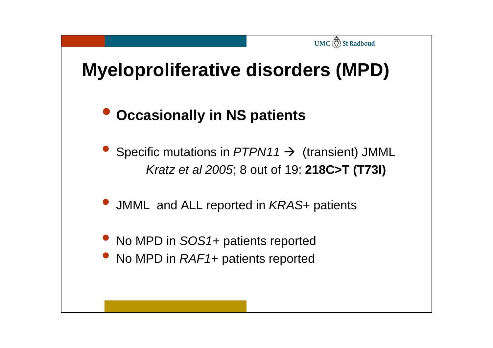# **Myeloproliferative disorders (MPD)**

UMC (1) St Radboud

#### $\bullet$ **Occasionally in NS patients**

- $\bullet$ Specific mutations in  $PTPN11 \rightarrow$  (transient) JMML *Kratz et al 2005*; 8 out of 19: **218C>T (T73I)**
- JMML and ALL reported in *KRAS*+ patients
- No MPD in *SOS1*+ patients reported
- $\bullet$ No MPD in *RAF1*+ patients reported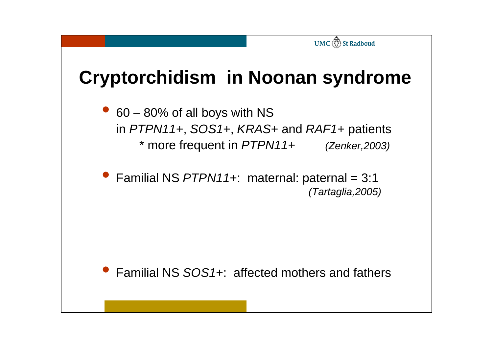# **Cryptorchidism in Noonan syndrome**

UMC ( St Radboud

 $\bullet$  60 – 80% of all boys with NS in *PTPN11*+, *SOS1*+, *KRAS*+ and *RAF1*+ patients \* more frequent in *PTPN11*+ *(Zenker,2003)*

 $\bullet$  Familial NS *PTPN11*+: maternal: paternal = 3:1 *(Tartaglia,2005)*

 $\bullet$ Familial NS *SOS1*+: affected mothers and fathers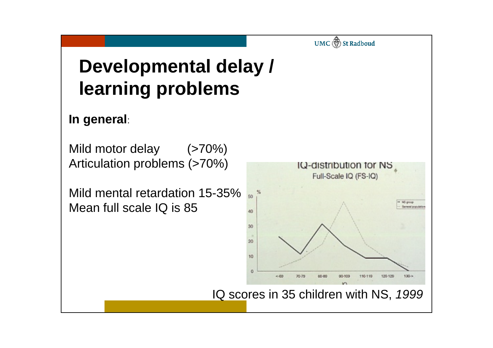# **Developmental delay / learning problems**

#### **In general**:

Mild motor delay (>70%) Articulation problems (>70%)

Mild mental retardation 15-35% Mean full scale IQ is 85



UMC (1) St Radboud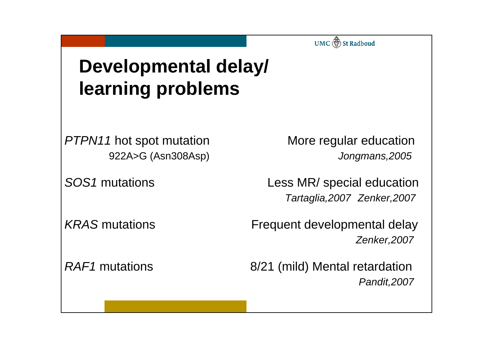UMC (1) St Radboud

# **Developmental delay/ learning problems**

*PTPN11*

More regular education 922A>G (Asn308Asp) *Jongmans,2005*

*SOS1* mutations Less MR/ special education *Tartaglia,2007 Zenker,2007*

KRAS mutations **Frequent developmental delay** *Zenker,2007*

*RAF1* mutations 8/21 (mild) Mental retardation *Pandit,2007*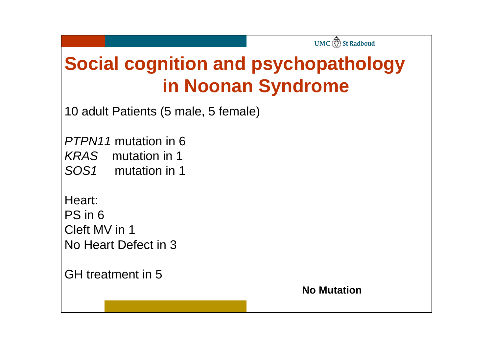# **Social cognition and psychopathology in Noonan Syndrome**

10 adult Patients (5 male, 5 female)

*PTPN11* mutation in 6 *KRAS* mutation in 1 *SOS1* mutation in 1

Heart: PS in 6Cleft MV in 1No Heart Defect in 3

GH treatment in 5

**No Mutation**

UMC (1) St Radboud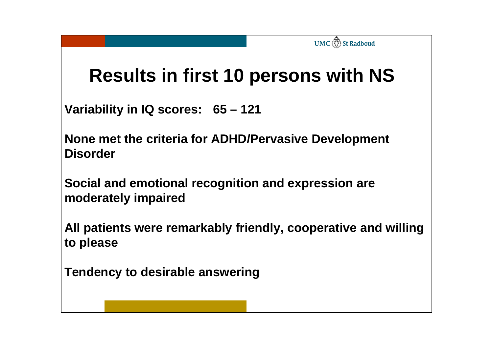## **Results in first 10 persons with NS**

UMC **St** Radboud

**Variability in IQ scores: 65 – 121**

**None met the criteria for ADHD/Pervasive Development Disorder**

**Social and emotional recognition and expression are moderately impaired**

**All patients were remarkably friendly, cooperative and willing to please**

**Tendency to desirable answering**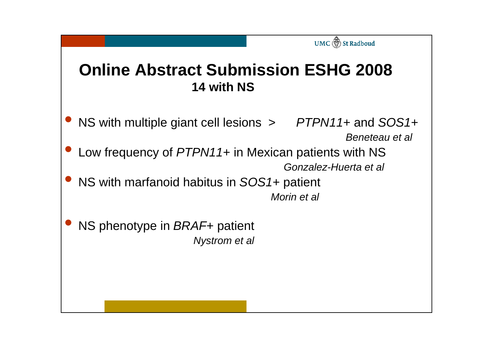## **Online Abstract Submission ESHG 200814 with NS**

UMC (1) St Radboud

- $\bullet$  NS with multiple giant cell lesions <sup>&</sup>gt;*PTPN11*+ and *SOS1* + *Beneteau et al*
- $\bullet$  Low frequency of *PTPN11*+ in Mexican patients with NS *Gonzalez-Huerta et al*
- $\bullet$  NS with marfanoid habitus in *SOS1*+ patient *Morin et al*
- $\bullet$  NS phenotype in *BRAF*+ patient *Nystrom* et al